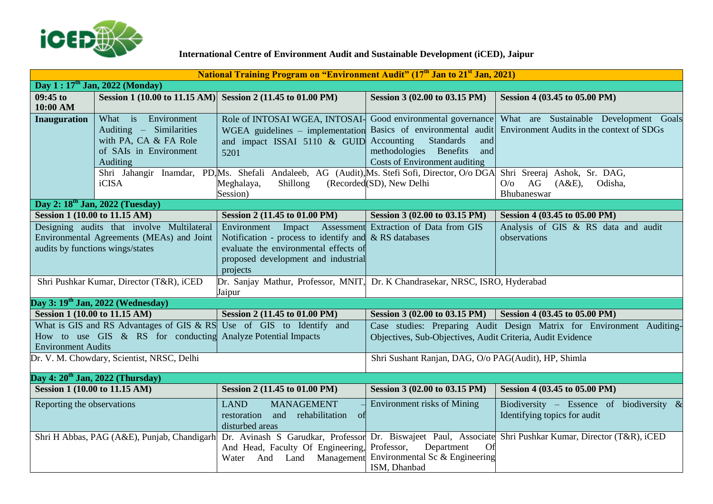

## **International Centre of Environment Audit and Sustainable Development (iCED), Jaipur**

| <b>National Training Program on "Environment Audit" (17th Jan to 21st Jan, 2021)</b>                                                   |                                                                                                               |                                                                                                                                                                                                                                                                          |                                                                                                                   |                                                                                                                     |  |  |
|----------------------------------------------------------------------------------------------------------------------------------------|---------------------------------------------------------------------------------------------------------------|--------------------------------------------------------------------------------------------------------------------------------------------------------------------------------------------------------------------------------------------------------------------------|-------------------------------------------------------------------------------------------------------------------|---------------------------------------------------------------------------------------------------------------------|--|--|
| Day $1:17th$ Jan, 2022 (Monday)                                                                                                        |                                                                                                               |                                                                                                                                                                                                                                                                          |                                                                                                                   |                                                                                                                     |  |  |
| $09:45$ to<br>10:00 AM                                                                                                                 |                                                                                                               | Session 1 (10.00 to 11.15 AM) Session 2 (11.45 to 01.00 PM)                                                                                                                                                                                                              | Session 3 (02.00 to 03.15 PM)                                                                                     | Session 4 (03.45 to 05.00 PM)                                                                                       |  |  |
| <b>Inauguration</b>                                                                                                                    | What is Environment<br>Auditing – Similarities<br>with PA, CA & FA Role<br>of SAIs in Environment<br>Auditing | Role of INTOSAI WGEA, INTOSAI- Good environmental governance<br>WGEA guidelines - implementation Basics of environmental audit<br>and impact ISSAI 5110 & GUID<br>5201<br>Shri Jahangir Inamdar, PD, Ms. Shefali Andaleeb, AG (Audit), Ms. Stefi Sofi, Director, O/o DGA | Accounting<br><b>Standards</b><br>and<br>methodologies Benefits<br>and<br><b>Costs of Environment auditing</b>    | What are Sustainable Development Goals<br>Environment Audits in the context of SDGs<br>Shri Sreeraj Ashok, Sr. DAG, |  |  |
|                                                                                                                                        | iCISA                                                                                                         | Meghalaya,<br>Shillong<br>Session)                                                                                                                                                                                                                                       | (Recorded(SD), New Delhi                                                                                          | AG<br>(A&E),<br>Odisha,<br>O/O<br>Bhubaneswar                                                                       |  |  |
|                                                                                                                                        | Day 2: 18 <sup>th</sup> Jan, 2022 (Tuesday)                                                                   |                                                                                                                                                                                                                                                                          |                                                                                                                   |                                                                                                                     |  |  |
| Session 1 (10.00 to 11.15 AM)                                                                                                          |                                                                                                               | Session 2 (11.45 to 01.00 PM)                                                                                                                                                                                                                                            | Session 3 (02.00 to 03.15 PM)                                                                                     | Session 4 (03.45 to 05.00 PM)                                                                                       |  |  |
| Designing audits that involve Multilateral<br>Environmental Agreements (MEAs) and Joint<br>audits by functions wings/states            |                                                                                                               | Environment Impact<br>Assessment<br>Notification - process to identify and $\&$ RS databases<br>evaluate the environmental effects of<br>proposed development and industrial                                                                                             | Extraction of Data from GIS                                                                                       | Analysis of GIS & RS data and audit<br>observations                                                                 |  |  |
|                                                                                                                                        | Shri Pushkar Kumar, Director (T&R), iCED                                                                      | projects<br>Dr. Sanjay Mathur, Professor, MNIT, Dr. K Chandrasekar, NRSC, ISRO, Hyderabad<br>Jaipur                                                                                                                                                                      |                                                                                                                   |                                                                                                                     |  |  |
|                                                                                                                                        | Day 3: 19 <sup>th</sup> Jan, 2022 (Wednesday)                                                                 |                                                                                                                                                                                                                                                                          |                                                                                                                   |                                                                                                                     |  |  |
| <b>Session 1 (10.00 to 11.15 AM)</b>                                                                                                   |                                                                                                               | Session 2 (11.45 to 01.00 PM)                                                                                                                                                                                                                                            | Session 3 (02.00 to 03.15 PM)                                                                                     | Session 4 (03.45 to 05.00 PM)                                                                                       |  |  |
| What is GIS and RS Advantages of GIS & RS<br>How to use GIS & RS for conducting Analyze Potential Impacts<br><b>Environment Audits</b> |                                                                                                               | Use of GIS to Identify and                                                                                                                                                                                                                                               | Objectives, Sub-Objectives, Audit Criteria, Audit Evidence                                                        | Case studies: Preparing Audit Design Matrix for Environment Auditing-                                               |  |  |
| Dr. V. M. Chowdary, Scientist, NRSC, Delhi                                                                                             |                                                                                                               |                                                                                                                                                                                                                                                                          | Shri Sushant Ranjan, DAG, O/o PAG(Audit), HP, Shimla                                                              |                                                                                                                     |  |  |
|                                                                                                                                        | Day 4: 20 <sup>th</sup> Jan, 2022 (Thursday)                                                                  |                                                                                                                                                                                                                                                                          |                                                                                                                   |                                                                                                                     |  |  |
| <b>Session 1 (10.00 to 11.15 AM)</b>                                                                                                   |                                                                                                               | Session 2 (11.45 to 01.00 PM)                                                                                                                                                                                                                                            | Session 3 (02.00 to 03.15 PM)                                                                                     | Session 4 (03.45 to 05.00 PM)                                                                                       |  |  |
| Reporting the observations                                                                                                             |                                                                                                               | <b>LAND</b><br><b>MANAGEMENT</b><br>restoration<br>and rehabilitation of<br>disturbed areas                                                                                                                                                                              | <b>Environment risks of Mining</b>                                                                                | Biodiversity – Essence of biodiversity $\&$<br>Identifying topics for audit                                         |  |  |
|                                                                                                                                        |                                                                                                               | Shri H Abbas, PAG (A&E), Punjab, Chandigarh Dr. Avinash S Garudkar, Professor<br>And Head, Faculty Of Engineering,<br>Water And Land Management                                                                                                                          | Dr. Biswajeet Paul, Associate<br>Professor,<br>Department<br>Of<br>Environmental Sc & Engineering<br>ISM, Dhanbad | Shri Pushkar Kumar, Director (T&R), iCED                                                                            |  |  |